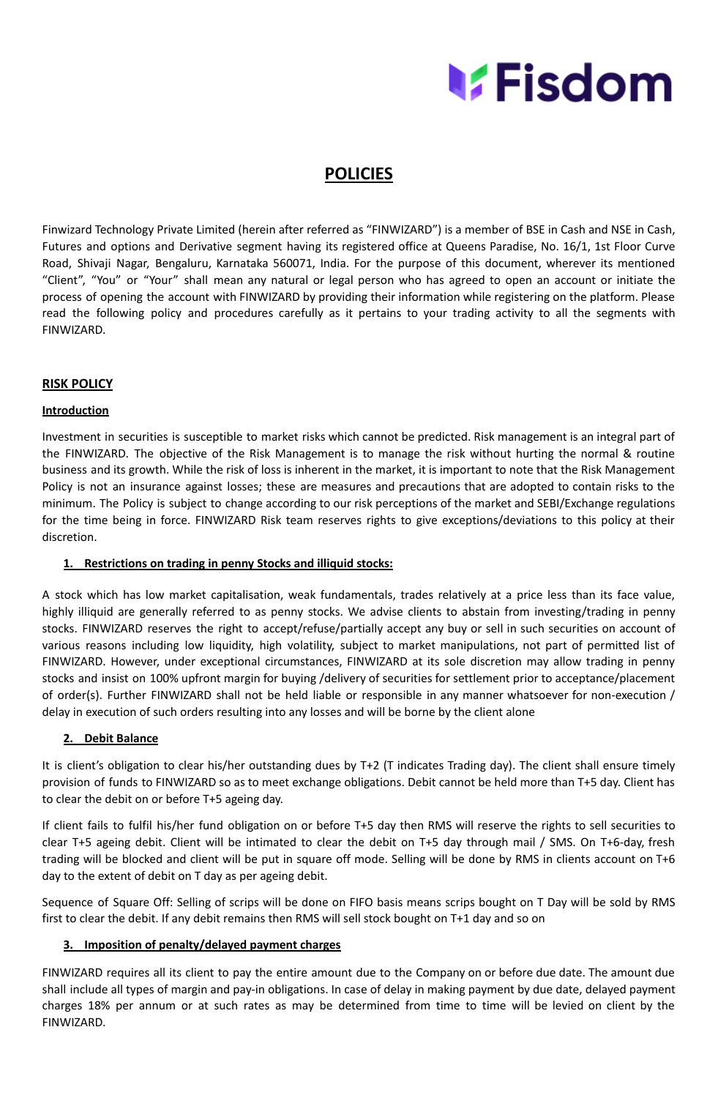

# **POLICIES**

Finwizard Technology Private Limited (herein after referred as "FINWIZARD") is a member of BSE in Cash and NSE in Cash, Futures and options and Derivative segment having its registered office at Queens Paradise, No. 16/1, 1st Floor Curve Road, Shivaji Nagar, Bengaluru, Karnataka 560071, India. For the purpose of this document, wherever its mentioned "Client", "You" or "Your" shall mean any natural or legal person who has agreed to open an account or initiate the process of opening the account with FINWIZARD by providing their information while registering on the platform. Please read the following policy and procedures carefully as it pertains to your trading activity to all the segments with FINWIZARD.

# **RISK POLICY**

# **Introduction**

Investment in securities is susceptible to market risks which cannot be predicted. Risk management is an integral part of the FINWIZARD. The objective of the Risk Management is to manage the risk without hurting the normal & routine business and its growth. While the risk of loss is inherent in the market, it is important to note that the Risk Management Policy is not an insurance against losses; these are measures and precautions that are adopted to contain risks to the minimum. The Policy is subject to change according to our risk perceptions of the market and SEBI/Exchange regulations for the time being in force. FINWIZARD Risk team reserves rights to give exceptions/deviations to this policy at their discretion.

# **1. Restrictions on trading in penny Stocks and illiquid stocks:**

A stock which has low market capitalisation, weak fundamentals, trades relatively at a price less than its face value, highly illiquid are generally referred to as penny stocks. We advise clients to abstain from investing/trading in penny stocks. FINWIZARD reserves the right to accept/refuse/partially accept any buy or sell in such securities on account of various reasons including low liquidity, high volatility, subject to market manipulations, not part of permitted list of FINWIZARD. However, under exceptional circumstances, FINWIZARD at its sole discretion may allow trading in penny stocks and insist on 100% upfront margin for buying /delivery of securities for settlement prior to acceptance/placement of order(s). Further FINWIZARD shall not be held liable or responsible in any manner whatsoever for non-execution / delay in execution of such orders resulting into any losses and will be borne by the client alone

# **2. Debit Balance**

It is client's obligation to clear his/her outstanding dues by T+2 (T indicates Trading day). The client shall ensure timely provision of funds to FINWIZARD so as to meet exchange obligations. Debit cannot be held more than T+5 day. Client has to clear the debit on or before T+5 ageing day.

If client fails to fulfil his/her fund obligation on or before T+5 day then RMS will reserve the rights to sell securities to clear T+5 ageing debit. Client will be intimated to clear the debit on T+5 day through mail / SMS. On T+6-day, fresh trading will be blocked and client will be put in square off mode. Selling will be done by RMS in clients account on T+6 day to the extent of debit on T day as per ageing debit.

Sequence of Square Off: Selling of scrips will be done on FIFO basis means scrips bought on T Day will be sold by RMS first to clear the debit. If any debit remains then RMS will sell stock bought on T+1 day and so on

# **3. Imposition of penalty/delayed payment charges**

FINWIZARD requires all its client to pay the entire amount due to the Company on or before due date. The amount due shall include all types of margin and pay-in obligations. In case of delay in making payment by due date, delayed payment charges 18% per annum or at such rates as may be determined from time to time will be levied on client by the FINWIZARD.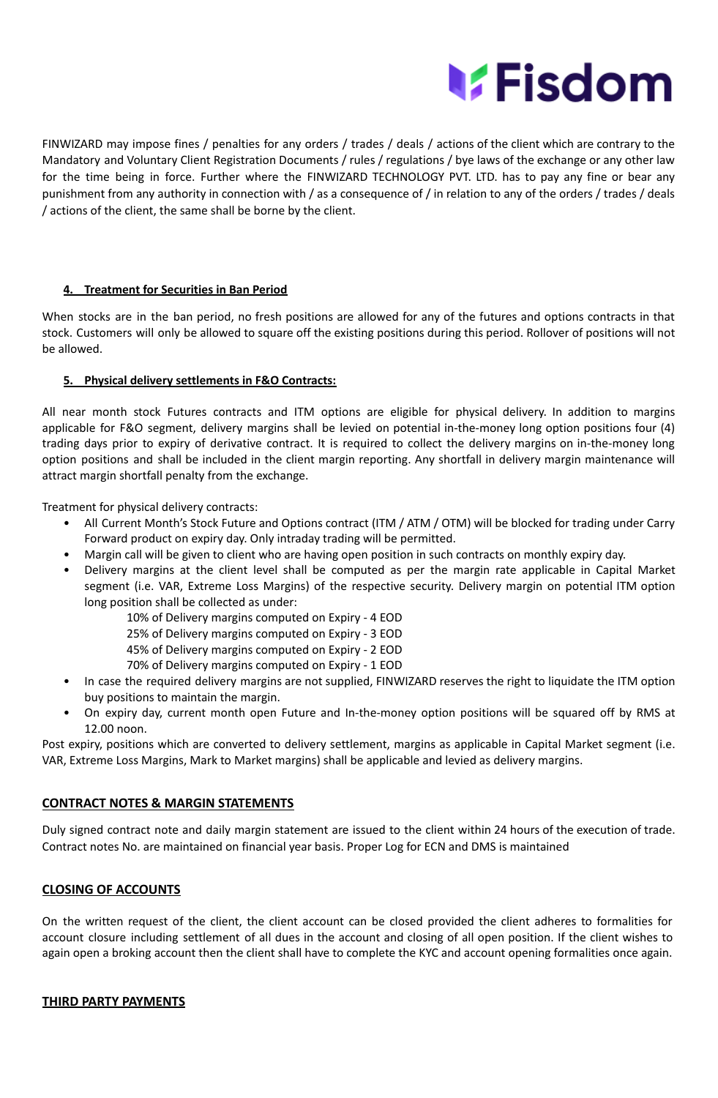

FINWIZARD may impose fines / penalties for any orders / trades / deals / actions of the client which are contrary to the Mandatory and Voluntary Client Registration Documents / rules / regulations / bye laws of the exchange or any other law for the time being in force. Further where the FINWIZARD TECHNOLOGY PVT. LTD. has to pay any fine or bear any punishment from any authority in connection with / as a consequence of / in relation to any of the orders / trades / deals / actions of the client, the same shall be borne by the client.

# **4. Treatment for Securities in Ban Period**

When stocks are in the ban period, no fresh positions are allowed for any of the futures and options contracts in that stock. Customers will only be allowed to square off the existing positions during this period. Rollover of positions will not be allowed.

# **5. Physical delivery settlements in F&O Contracts:**

All near month stock Futures contracts and ITM options are eligible for physical delivery. In addition to margins applicable for F&O segment, delivery margins shall be levied on potential in-the-money long option positions four (4) trading days prior to expiry of derivative contract. It is required to collect the delivery margins on in-the-money long option positions and shall be included in the client margin reporting. Any shortfall in delivery margin maintenance will attract margin shortfall penalty from the exchange.

Treatment for physical delivery contracts:

- All Current Month's Stock Future and Options contract (ITM / ATM / OTM) will be blocked for trading under Carry Forward product on expiry day. Only intraday trading will be permitted.
- Margin call will be given to client who are having open position in such contracts on monthly expiry day.
- Delivery margins at the client level shall be computed as per the margin rate applicable in Capital Market segment (i.e. VAR, Extreme Loss Margins) of the respective security. Delivery margin on potential ITM option long position shall be collected as under:

10% of Delivery margins computed on Expiry - 4 EOD

25% of Delivery margins computed on Expiry - 3 EOD

45% of Delivery margins computed on Expiry - 2 EOD

70% of Delivery margins computed on Expiry - 1 EOD

- In case the required delivery margins are not supplied, FINWIZARD reserves the right to liquidate the ITM option buy positions to maintain the margin.
- On expiry day, current month open Future and In-the-money option positions will be squared off by RMS at 12.00 noon.

Post expiry, positions which are converted to delivery settlement, margins as applicable in Capital Market segment (i.e. VAR, Extreme Loss Margins, Mark to Market margins) shall be applicable and levied as delivery margins.

# **CONTRACT NOTES & MARGIN STATEMENTS**

Duly signed contract note and daily margin statement are issued to the client within 24 hours of the execution of trade. Contract notes No. are maintained on financial year basis. Proper Log for ECN and DMS is maintained

# **CLOSING OF ACCOUNTS**

On the written request of the client, the client account can be closed provided the client adheres to formalities for account closure including settlement of all dues in the account and closing of all open position. If the client wishes to again open a broking account then the client shall have to complete the KYC and account opening formalities once again.

#### **THIRD PARTY PAYMENTS**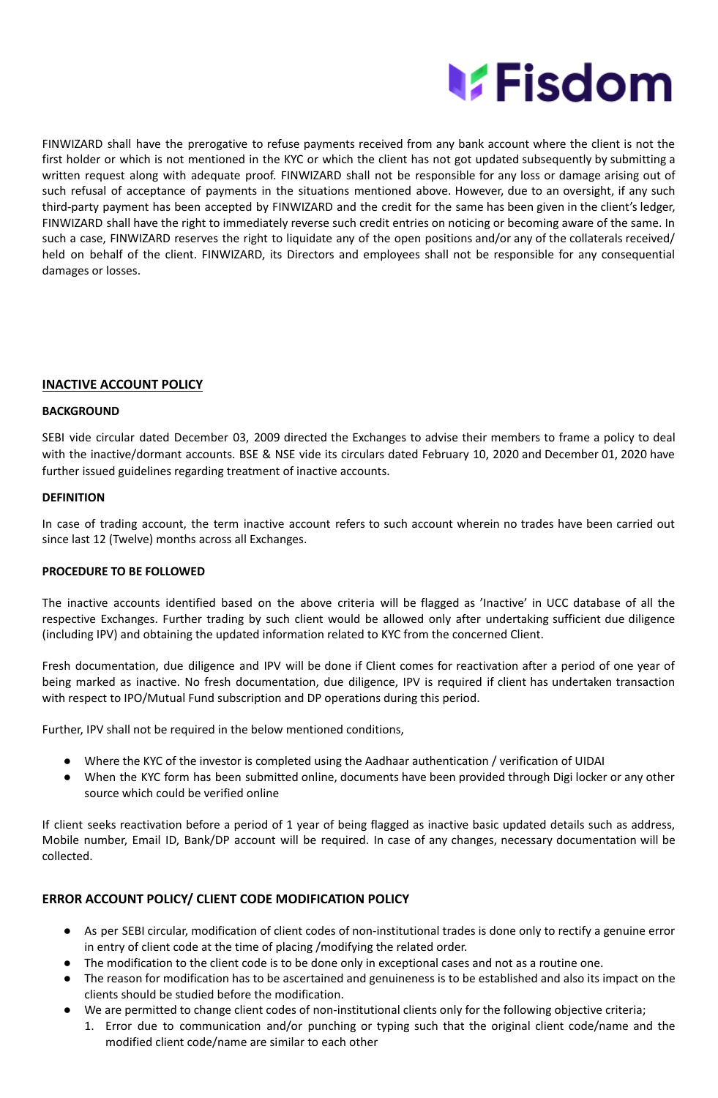

FINWIZARD shall have the prerogative to refuse payments received from any bank account where the client is not the first holder or which is not mentioned in the KYC or which the client has not got updated subsequently by submitting a written request along with adequate proof. FINWIZARD shall not be responsible for any loss or damage arising out of such refusal of acceptance of payments in the situations mentioned above. However, due to an oversight, if any such third-party payment has been accepted by FINWIZARD and the credit for the same has been given in the client's ledger, FINWIZARD shall have the right to immediately reverse such credit entries on noticing or becoming aware of the same. In such a case, FINWIZARD reserves the right to liquidate any of the open positions and/or any of the collaterals received/ held on behalf of the client. FINWIZARD, its Directors and employees shall not be responsible for any consequential damages or losses.

# **INACTIVE ACCOUNT POLICY**

# **BACKGROUND**

SEBI vide circular dated December 03, 2009 directed the Exchanges to advise their members to frame a policy to deal with the inactive/dormant accounts. BSE & NSE vide its circulars dated February 10, 2020 and December 01, 2020 have further issued guidelines regarding treatment of inactive accounts.

# **DEFINITION**

In case of trading account, the term inactive account refers to such account wherein no trades have been carried out since last 12 (Twelve) months across all Exchanges.

# **PROCEDURE TO BE FOLLOWED**

The inactive accounts identified based on the above criteria will be flagged as 'Inactive' in UCC database of all the respective Exchanges. Further trading by such client would be allowed only after undertaking sufficient due diligence (including IPV) and obtaining the updated information related to KYC from the concerned Client.

Fresh documentation, due diligence and IPV will be done if Client comes for reactivation after a period of one year of being marked as inactive. No fresh documentation, due diligence, IPV is required if client has undertaken transaction with respect to IPO/Mutual Fund subscription and DP operations during this period.

Further, IPV shall not be required in the below mentioned conditions,

- Where the KYC of the investor is completed using the Aadhaar authentication / verification of UIDAI
- When the KYC form has been submitted online, documents have been provided through Digi locker or any other source which could be verified online

If client seeks reactivation before a period of 1 year of being flagged as inactive basic updated details such as address, Mobile number, Email ID, Bank/DP account will be required. In case of any changes, necessary documentation will be collected.

# **ERROR ACCOUNT POLICY/ CLIENT CODE MODIFICATION POLICY**

- As per SEBI circular, modification of client codes of non-institutional trades is done only to rectify a genuine error in entry of client code at the time of placing /modifying the related order.
- The modification to the client code is to be done only in exceptional cases and not as a routine one.
- The reason for modification has to be ascertained and genuineness is to be established and also its impact on the clients should be studied before the modification.
- We are permitted to change client codes of non-institutional clients only for the following objective criteria;
- 1. Error due to communication and/or punching or typing such that the original client code/name and the modified client code/name are similar to each other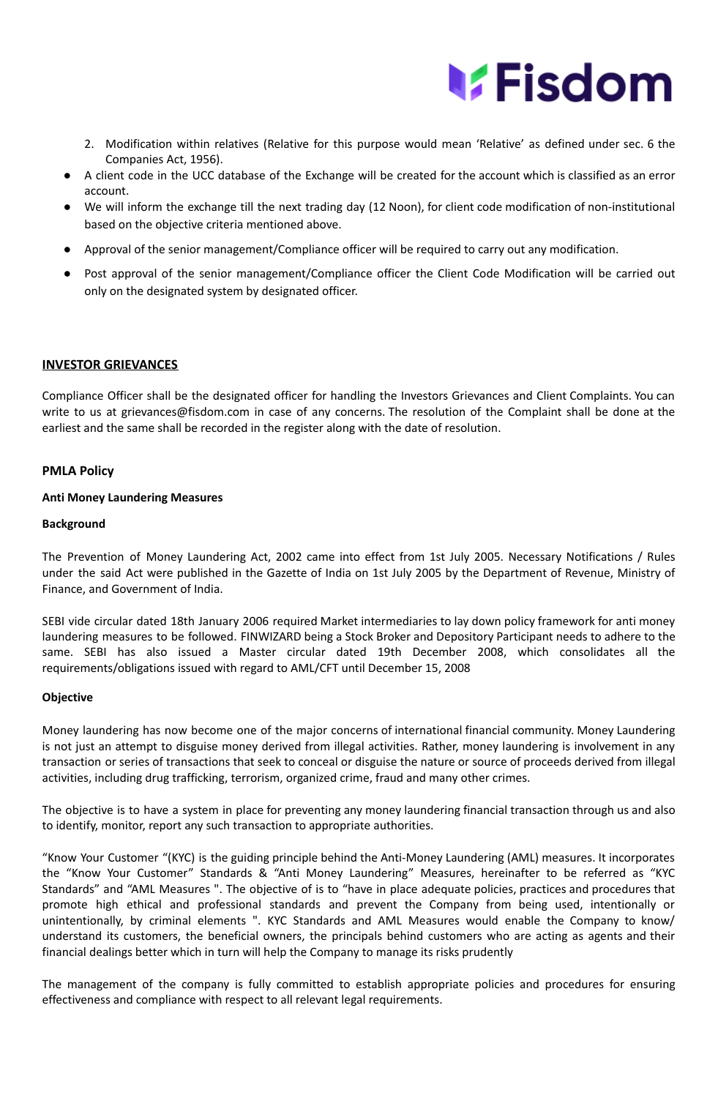

- 2. Modification within relatives (Relative for this purpose would mean 'Relative' as defined under sec. 6 the Companies Act, 1956).
- A client code in the UCC database of the Exchange will be created for the account which is classified as an error account.
- We will inform the exchange till the next trading day (12 Noon), for client code modification of non-institutional based on the objective criteria mentioned above.
- Approval of the senior management/Compliance officer will be required to carry out any modification.
- Post approval of the senior management/Compliance officer the Client Code Modification will be carried out only on the designated system by designated officer.

# **INVESTOR GRIEVANCES**

Compliance Officer shall be the designated officer for handling the Investors Grievances and Client Complaints. You can write to us at grievances@fisdom.com in case of any concerns. The resolution of the Complaint shall be done at the earliest and the same shall be recorded in the register along with the date of resolution.

#### **PMLA Policy**

#### **Anti Money Laundering Measures**

#### **Background**

The Prevention of Money Laundering Act, 2002 came into effect from 1st July 2005. Necessary Notifications / Rules under the said Act were published in the Gazette of India on 1st July 2005 by the Department of Revenue, Ministry of Finance, and Government of India.

SEBI vide circular dated 18th January 2006 required Market intermediaries to lay down policy framework for anti money laundering measures to be followed. FINWIZARD being a Stock Broker and Depository Participant needs to adhere to the same. SEBI has also issued a Master circular dated 19th December 2008, which consolidates all the requirements/obligations issued with regard to AML/CFT until December 15, 2008

#### **Objective**

Money laundering has now become one of the major concerns of international financial community. Money Laundering is not just an attempt to disguise money derived from illegal activities. Rather, money laundering is involvement in any transaction or series of transactions that seek to conceal or disguise the nature or source of proceeds derived from illegal activities, including drug trafficking, terrorism, organized crime, fraud and many other crimes.

The objective is to have a system in place for preventing any money laundering financial transaction through us and also to identify, monitor, report any such transaction to appropriate authorities.

"Know Your Customer "(KYC) is the guiding principle behind the Anti-Money Laundering (AML) measures. It incorporates the "Know Your Customer" Standards & "Anti Money Laundering" Measures, hereinafter to be referred as "KYC Standards" and "AML Measures ". The objective of is to "have in place adequate policies, practices and procedures that promote high ethical and professional standards and prevent the Company from being used, intentionally or unintentionally, by criminal elements ". KYC Standards and AML Measures would enable the Company to know/ understand its customers, the beneficial owners, the principals behind customers who are acting as agents and their financial dealings better which in turn will help the Company to manage its risks prudently

The management of the company is fully committed to establish appropriate policies and procedures for ensuring effectiveness and compliance with respect to all relevant legal requirements.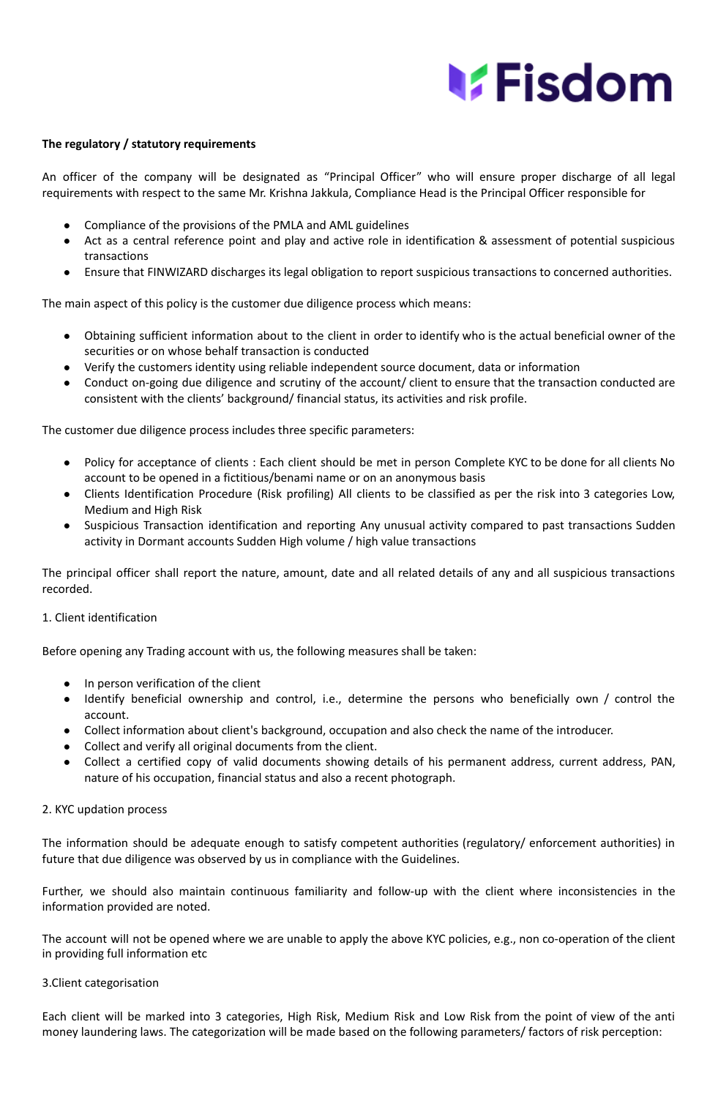# **MEisdom**

#### **The regulatory / statutory requirements**

An officer of the company will be designated as "Principal Officer" who will ensure proper discharge of all legal requirements with respect to the same Mr. Krishna Jakkula, Compliance Head is the Principal Officer responsible for

- Compliance of the provisions of the PMLA and AML guidelines
- Act as a central reference point and play and active role in identification & assessment of potential suspicious transactions
- Ensure that FINWIZARD discharges its legal obligation to report suspicious transactions to concerned authorities.

The main aspect of this policy is the customer due diligence process which means:

- Obtaining sufficient information about to the client in order to identify who is the actual beneficial owner of the securities or on whose behalf transaction is conducted
- Verify the customers identity using reliable independent source document, data or information
- Conduct on-going due diligence and scrutiny of the account/ client to ensure that the transaction conducted are consistent with the clients' background/ financial status, its activities and risk profile.

The customer due diligence process includes three specific parameters:

- Policy for acceptance of clients : Each client should be met in person Complete KYC to be done for all clients No account to be opened in a fictitious/benami name or on an anonymous basis
- Clients Identification Procedure (Risk profiling) All clients to be classified as per the risk into 3 categories Low, Medium and High Risk
- Suspicious Transaction identification and reporting Any unusual activity compared to past transactions Sudden activity in Dormant accounts Sudden High volume / high value transactions

The principal officer shall report the nature, amount, date and all related details of any and all suspicious transactions recorded.

#### 1. Client identification

Before opening any Trading account with us, the following measures shall be taken:

- In person verification of the client
- Identify beneficial ownership and control, i.e., determine the persons who beneficially own / control the account.
- Collect information about client's background, occupation and also check the name of the introducer.
- Collect and verify all original documents from the client.
- Collect a certified copy of valid documents showing details of his permanent address, current address, PAN, nature of his occupation, financial status and also a recent photograph.

#### 2. KYC updation process

The information should be adequate enough to satisfy competent authorities (regulatory/ enforcement authorities) in future that due diligence was observed by us in compliance with the Guidelines.

Further, we should also maintain continuous familiarity and follow-up with the client where inconsistencies in the information provided are noted.

The account will not be opened where we are unable to apply the above KYC policies, e.g., non co-operation of the client in providing full information etc

#### 3.Client categorisation

Each client will be marked into 3 categories, High Risk, Medium Risk and Low Risk from the point of view of the anti money laundering laws. The categorization will be made based on the following parameters/ factors of risk perception: